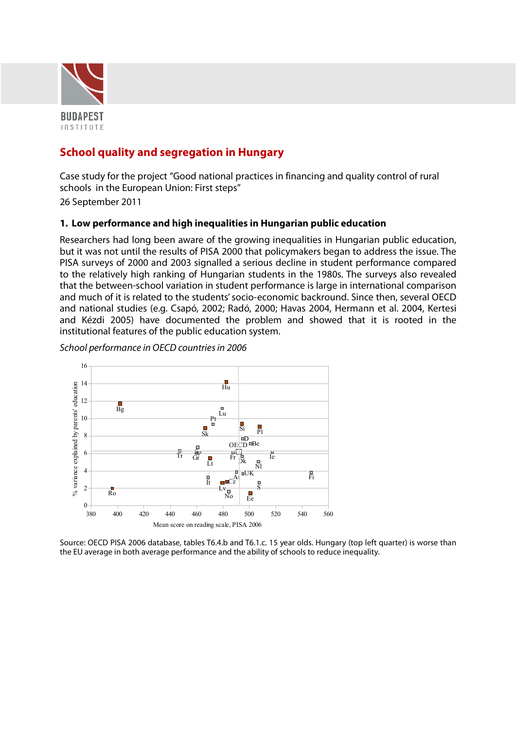

# **School quality and segregation in Hungary**

Case study for the project "Good national practices in financing and quality control of rural schools in the European Union: First steps" 26 September 2011

# **1. Low performance and high inequalities in Hungarian public education**

Researchers had long been aware of the growing inequalities in Hungarian public education, but it was not until the results of PISA 2000 that policymakers began to address the issue. The PISA surveys of 2000 and 2003 signalled a serious decline in student performance compared to the relatively high ranking of Hungarian students in the 1980s. The surveys also revealed that the between-school variation in student performance is large in international comparison and much of it is related to the students' socio-economic backround. Since then, several OECD and national studies (e.g. Csapó, 2002; Radó, 2000; Havas 2004, Hermann et al. 2004, Kertesi and Kézdi 2005) have documented the problem and showed that it is rooted in the institutional features of the public education system.



School performance in OECD countries in 2006

Source: OECD PISA 2006 database, tables T6.4.b and T6.1.c. 15 year olds. Hungary (top left quarter) is worse than the EU average in both average performance and the ability of schools to reduce inequality.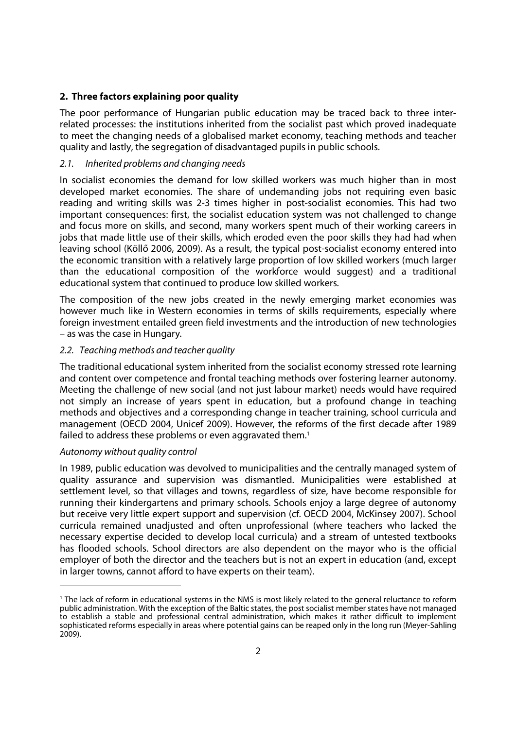# **2. Three factors explaining poor quality**

The poor performance of Hungarian public education may be traced back to three interrelated processes: the institutions inherited from the socialist past which proved inadequate to meet the changing needs of a globalised market economy, teaching methods and teacher quality and lastly, the segregation of disadvantaged pupils in public schools.

# 2.1. Inherited problems and changing needs

In socialist economies the demand for low skilled workers was much higher than in most developed market economies. The share of undemanding jobs not requiring even basic reading and writing skills was 2-3 times higher in post-socialist economies. This had two important consequences: first, the socialist education system was not challenged to change and focus more on skills, and second, many workers spent much of their working careers in jobs that made little use of their skills, which eroded even the poor skills they had had when leaving school (Köllő 2006, 2009). As a result, the typical post-socialist economy entered into the economic transition with a relatively large proportion of low skilled workers (much larger than the educational composition of the workforce would suggest) and a traditional educational system that continued to produce low skilled workers.

The composition of the new jobs created in the newly emerging market economies was however much like in Western economies in terms of skills requirements, especially where foreign investment entailed green field investments and the introduction of new technologies – as was the case in Hungary.

## 2.2. Teaching methods and teacher quality

The traditional educational system inherited from the socialist economy stressed rote learning and content over competence and frontal teaching methods over fostering learner autonomy. Meeting the challenge of new social (and not just labour market) needs would have required not simply an increase of years spent in education, but a profound change in teaching methods and objectives and a corresponding change in teacher training, school curricula and management (OECD 2004, Unicef 2009). However, the reforms of the first decade after 1989 failed to address these problems or even aggravated them.<sup>1</sup>

## Autonomy without quality control

-

In 1989, public education was devolved to municipalities and the centrally managed system of quality assurance and supervision was dismantled. Municipalities were established at settlement level, so that villages and towns, regardless of size, have become responsible for running their kindergartens and primary schools. Schools enjoy a large degree of autonomy but receive very little expert support and supervision (cf. OECD 2004, McKinsey 2007). School curricula remained unadjusted and often unprofessional (where teachers who lacked the necessary expertise decided to develop local curricula) and a stream of untested textbooks has flooded schools. School directors are also dependent on the mayor who is the official employer of both the director and the teachers but is not an expert in education (and, except in larger towns, cannot afford to have experts on their team).

<sup>1</sup> The lack of reform in educational systems in the NMS is most likely related to the general reluctance to reform public administration. With the exception of the Baltic states, the post socialist member states have not managed to establish a stable and professional central administration, which makes it rather difficult to implement sophisticated reforms especially in areas where potential gains can be reaped only in the long run (Meyer-Sahling 2009).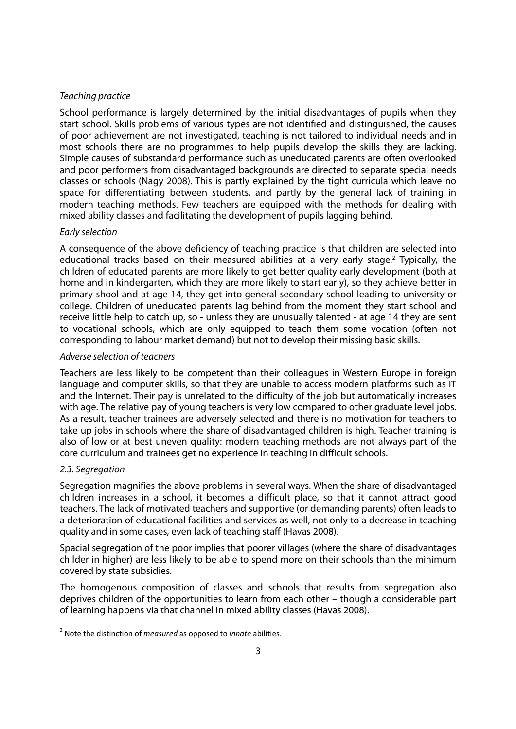## Teaching practice

School performance is largely determined by the initial disadvantages of pupils when they start school. Skills problems of various types are not identified and distinguished, the causes of poor achievement are not investigated, teaching is not tailored to individual needs and in most schools there are no programmes to help pupils develop the skills they are lacking. Simple causes of substandard performance such as uneducated parents are often overlooked and poor performers from disadvantaged backgrounds are directed to separate special needs classes or schools (Nagy 2008). This is partly explained by the tight curricula which leave no space for differentiating between students, and partly by the general lack of training in modern teaching methods. Few teachers are equipped with the methods for dealing with mixed ability classes and facilitating the development of pupils lagging behind.

## Early selection

A consequence of the above deficiency of teaching practice is that children are selected into educational tracks based on their measured abilities at a very early stage.<sup>2</sup> Typically, the children of educated parents are more likely to get better quality early development (both at home and in kindergarten, which they are more likely to start early), so they achieve better in primary shool and at age 14, they get into general secondary school leading to university or college. Children of uneducated parents lag behind from the moment they start school and receive little help to catch up, so - unless they are unusually talented - at age 14 they are sent to vocational schools, which are only equipped to teach them some vocation (often not corresponding to labour market demand) but not to develop their missing basic skills.

# Adverse selection of teachers

Teachers are less likely to be competent than their colleagues in Western Europe in foreign language and computer skills, so that they are unable to access modern platforms such as IT and the Internet. Their pay is unrelated to the difficulty of the job but automatically increases with age. The relative pay of young teachers is very low compared to other graduate level jobs. As a result, teacher trainees are adversely selected and there is no motivation for teachers to take up jobs in schools where the share of disadvantaged children is high. Teacher training is also of low or at best uneven quality: modern teaching methods are not always part of the core curriculum and trainees get no experience in teaching in difficult schools.

## 2.3. Seareaation

Segregation magnifies the above problems in several ways. When the share of disadvantaged children increases in a school, it becomes a difficult place, so that it cannot attract good teachers. The lack of motivated teachers and supportive (or demanding parents) often leads to a deterioration of educational facilities and services as well, not only to a decrease in teaching quality and in some cases, even lack of teaching staff (Havas 2008).

Spacial segregation of the poor implies that poorer villages (where the share of disadvantages childer in higher) are less likely to be able to spend more on their schools than the minimum covered by state subsidies.

The homogenous composition of classes and schools that results from segregation also deprives children of the opportunities to learn from each other – though a considerable part of learning happens via that channel in mixed ability classes (Havas 2008).

<sup>-</sup>2 Note the distinction of *measured* as opposed to *innate* abilities.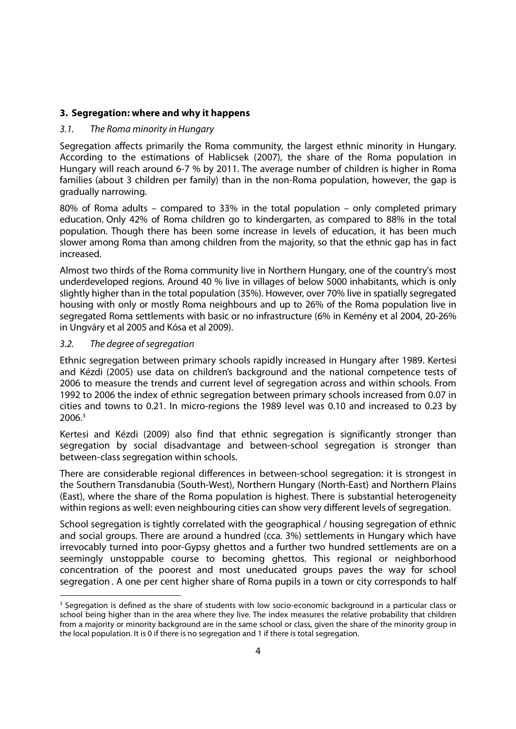# **3. Segregation: where and why it happens**

#### 3.1. The Roma minority in Hungary

Segregation affects primarily the Roma community, the largest ethnic minority in Hungary. According to the estimations of Hablicsek (2007), the share of the Roma population in Hungary will reach around 6-7 % by 2011. The average number of children is higher in Roma families (about 3 children per family) than in the non-Roma population, however, the gap is gradually narrowing.

80% of Roma adults – compared to 33% in the total population – only completed primary education. Only 42% of Roma children go to kindergarten, as compared to 88% in the total population. Though there has been some increase in levels of education, it has been much slower among Roma than among children from the majority, so that the ethnic gap has in fact increased.

Almost two thirds of the Roma community live in Northern Hungary, one of the country's most underdeveloped regions. Around 40 % live in villages of below 5000 inhabitants, which is only slightly higher than in the total population (35%). However, over 70% live in spatially segregated housing with only or mostly Roma neighbours and up to 26% of the Roma population live in segregated Roma settlements with basic or no infrastructure (6% in Kemény et al 2004, 20-26% in Ungváry et al 2005 and Kósa et al 2009).

#### 3.2. The degree of segregation

Ethnic segregation between primary schools rapidly increased in Hungary after 1989. Kertesi and Kézdi (2005) use data on children's background and the national competence tests of 2006 to measure the trends and current level of segregation across and within schools. From 1992 to 2006 the index of ethnic segregation between primary schools increased from 0.07 in cities and towns to 0.21. In micro-regions the 1989 level was 0.10 and increased to 0.23 by 2006.<sup>3</sup>

Kertesi and Kézdi (2009) also find that ethnic segregation is significantly stronger than segregation by social disadvantage and between-school segregation is stronger than between-class segregation within schools.

There are considerable regional differences in between-school segregation: it is strongest in the Southern Transdanubia (South-West), Northern Hungary (North-East) and Northern Plains (East), where the share of the Roma population is highest. There is substantial heterogeneity within regions as well: even neighbouring cities can show very different levels of segregation.

School segregation is tightly correlated with the geographical / housing segregation of ethnic and social groups. There are around a hundred (cca. 3%) settlements in Hungary which have irrevocably turned into poor-Gypsy ghettos and a further two hundred settlements are on a seemingly unstoppable course to becoming ghettos. This regional or neighborhood concentration of the poorest and most uneducated groups paves the way for school segregation . A one per cent higher share of Roma pupils in a town or city corresponds to half

<sup>-</sup><sup>3</sup> Segregation is defined as the share of students with low socio-economic background in a particular class or school being higher than in the area where they live. The index measures the relative probability that children from a majority or minority background are in the same school or class, given the share of the minority group in the local population. It is 0 if there is no segregation and 1 if there is total segregation.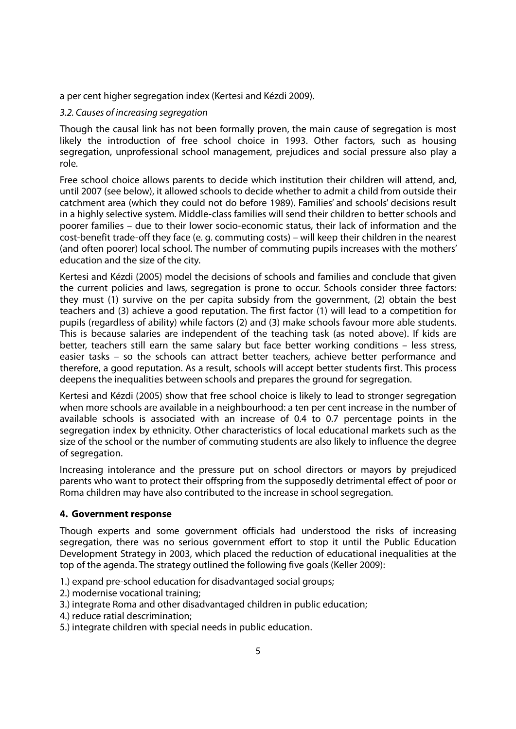a per cent higher segregation index (Kertesi and Kézdi 2009).

#### 3.2. Causes of increasing segregation

Though the causal link has not been formally proven, the main cause of segregation is most likely the introduction of free school choice in 1993. Other factors, such as housing segregation, unprofessional school management, prejudices and social pressure also play a role.

Free school choice allows parents to decide which institution their children will attend, and, until 2007 (see below), it allowed schools to decide whether to admit a child from outside their catchment area (which they could not do before 1989). Families' and schools' decisions result in a highly selective system. Middle-class families will send their children to better schools and poorer families – due to their lower socio-economic status, their lack of information and the cost-benefit trade-off they face (e. g. commuting costs) – will keep their children in the nearest (and often poorer) local school. The number of commuting pupils increases with the mothers' education and the size of the city.

Kertesi and Kézdi (2005) model the decisions of schools and families and conclude that given the current policies and laws, segregation is prone to occur. Schools consider three factors: they must (1) survive on the per capita subsidy from the government, (2) obtain the best teachers and (3) achieve a good reputation. The first factor (1) will lead to a competition for pupils (regardless of ability) while factors (2) and (3) make schools favour more able students. This is because salaries are independent of the teaching task (as noted above). If kids are better, teachers still earn the same salary but face better working conditions – less stress, easier tasks – so the schools can attract better teachers, achieve better performance and therefore, a good reputation. As a result, schools will accept better students first. This process deepens the inequalities between schools and prepares the ground for segregation.

Kertesi and Kézdi (2005) show that free school choice is likely to lead to stronger segregation when more schools are available in a neighbourhood: a ten per cent increase in the number of available schools is associated with an increase of 0.4 to 0.7 percentage points in the segregation index by ethnicity. Other characteristics of local educational markets such as the size of the school or the number of commuting students are also likely to influence the degree of segregation.

Increasing intolerance and the pressure put on school directors or mayors by prejudiced parents who want to protect their offspring from the supposedly detrimental effect of poor or Roma children may have also contributed to the increase in school segregation.

## **4. Government response**

Though experts and some government officials had understood the risks of increasing segregation, there was no serious government effort to stop it until the Public Education Development Strategy in 2003, which placed the reduction of educational inequalities at the top of the agenda. The strategy outlined the following five goals (Keller 2009):

1.) expand pre-school education for disadvantaged social groups;

- 2.) modernise vocational training;
- 3.) integrate Roma and other disadvantaged children in public education;
- 4.) reduce ratial descrimination;
- 5.) integrate children with special needs in public education.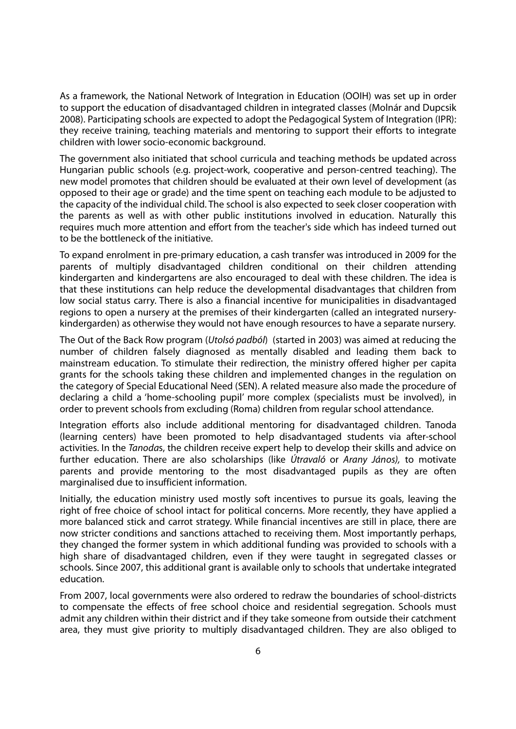As a framework, the National Network of Integration in Education (OOIH) was set up in order to support the education of disadvantaged children in integrated classes (Molnár and Dupcsik 2008). Participating schools are expected to adopt the Pedagogical System of Integration (IPR): they receive training, teaching materials and mentoring to support their efforts to integrate children with lower socio-economic background.

The government also initiated that school curricula and teaching methods be updated across Hungarian public schools (e.g. project-work, cooperative and person-centred teaching). The new model promotes that children should be evaluated at their own level of development (as opposed to their age or grade) and the time spent on teaching each module to be adjusted to the capacity of the individual child. The school is also expected to seek closer cooperation with the parents as well as with other public institutions involved in education. Naturally this requires much more attention and effort from the teacher's side which has indeed turned out to be the bottleneck of the initiative.

To expand enrolment in pre-primary education, a cash transfer was introduced in 2009 for the parents of multiply disadvantaged children conditional on their children attending kindergarten and kindergartens are also encouraged to deal with these children. The idea is that these institutions can help reduce the developmental disadvantages that children from low social status carry. There is also a financial incentive for municipalities in disadvantaged regions to open a nursery at the premises of their kindergarten (called an integrated nurserykindergarden) as otherwise they would not have enough resources to have a separate nursery.

The Out of the Back Row program (Utolsó padból) (started in 2003) was aimed at reducing the number of children falsely diagnosed as mentally disabled and leading them back to mainstream education. To stimulate their redirection, the ministry offered higher per capita grants for the schools taking these children and implemented changes in the regulation on the category of Special Educational Need (SEN). A related measure also made the procedure of declaring a child a 'home-schooling pupil' more complex (specialists must be involved), in order to prevent schools from excluding (Roma) children from regular school attendance.

Integration efforts also include additional mentoring for disadvantaged children. Tanoda (learning centers) have been promoted to help disadvantaged students via after-school activities. In the Tanodas, the children receive expert help to develop their skills and advice on further education. There are also scholarships (like Útravaló or Arany János), to motivate parents and provide mentoring to the most disadvantaged pupils as they are often marginalised due to insufficient information.

Initially, the education ministry used mostly soft incentives to pursue its goals, leaving the right of free choice of school intact for political concerns. More recently, they have applied a more balanced stick and carrot strategy. While financial incentives are still in place, there are now stricter conditions and sanctions attached to receiving them. Most importantly perhaps, they changed the former system in which additional funding was provided to schools with a high share of disadvantaged children, even if they were taught in segregated classes or schools. Since 2007, this additional grant is available only to schools that undertake integrated education.

From 2007, local governments were also ordered to redraw the boundaries of school-districts to compensate the effects of free school choice and residential segregation. Schools must admit any children within their district and if they take someone from outside their catchment area, they must give priority to multiply disadvantaged children. They are also obliged to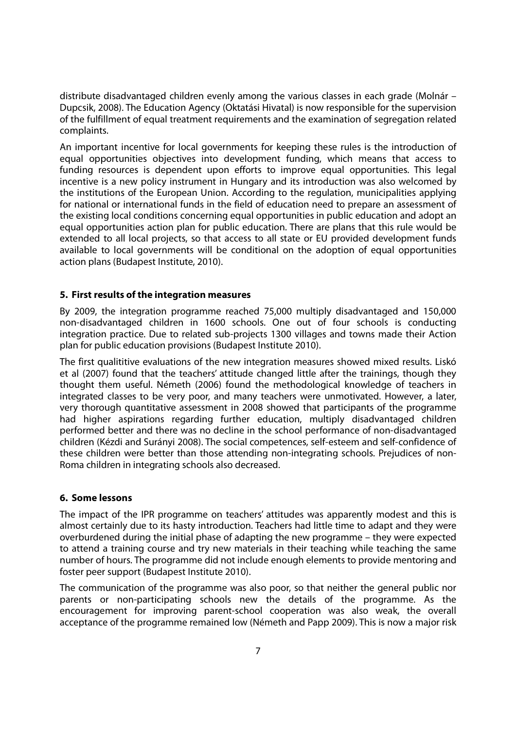distribute disadvantaged children evenly among the various classes in each grade (Molnár – Dupcsik, 2008). The Education Agency (Oktatási Hivatal) is now responsible for the supervision of the fulfillment of equal treatment requirements and the examination of segregation related complaints.

An important incentive for local governments for keeping these rules is the introduction of equal opportunities objectives into development funding, which means that access to funding resources is dependent upon efforts to improve equal opportunities. This legal incentive is a new policy instrument in Hungary and its introduction was also welcomed by the institutions of the European Union. According to the regulation, municipalities applying for national or international funds in the field of education need to prepare an assessment of the existing local conditions concerning equal opportunities in public education and adopt an equal opportunities action plan for public education. There are plans that this rule would be extended to all local projects, so that access to all state or EU provided development funds available to local governments will be conditional on the adoption of equal opportunities action plans (Budapest Institute, 2010).

## **5. First results of the integration measures**

By 2009, the integration programme reached 75,000 multiply disadvantaged and 150,000 non-disadvantaged children in 1600 schools. One out of four schools is conducting integration practice. Due to related sub-projects 1300 villages and towns made their Action plan for public education provisions (Budapest Institute 2010).

The first qualititive evaluations of the new integration measures showed mixed results. Liskó et al (2007) found that the teachers' attitude changed little after the trainings, though they thought them useful. Németh (2006) found the methodological knowledge of teachers in integrated classes to be very poor, and many teachers were unmotivated. However, a later, very thorough quantitative assessment in 2008 showed that participants of the programme had higher aspirations regarding further education, multiply disadvantaged children performed better and there was no decline in the school performance of non-disadvantaged children (Kézdi and Surányi 2008). The social competences, self-esteem and self-confidence of these children were better than those attending non-integrating schools. Prejudices of non-Roma children in integrating schools also decreased.

## **6. Some lessons**

The impact of the IPR programme on teachers' attitudes was apparently modest and this is almost certainly due to its hasty introduction. Teachers had little time to adapt and they were overburdened during the initial phase of adapting the new programme – they were expected to attend a training course and try new materials in their teaching while teaching the same number of hours. The programme did not include enough elements to provide mentoring and foster peer support (Budapest Institute 2010).

The communication of the programme was also poor, so that neither the general public nor parents or non-participating schools new the details of the programme. As the encouragement for improving parent-school cooperation was also weak, the overall acceptance of the programme remained low (Németh and Papp 2009). This is now a major risk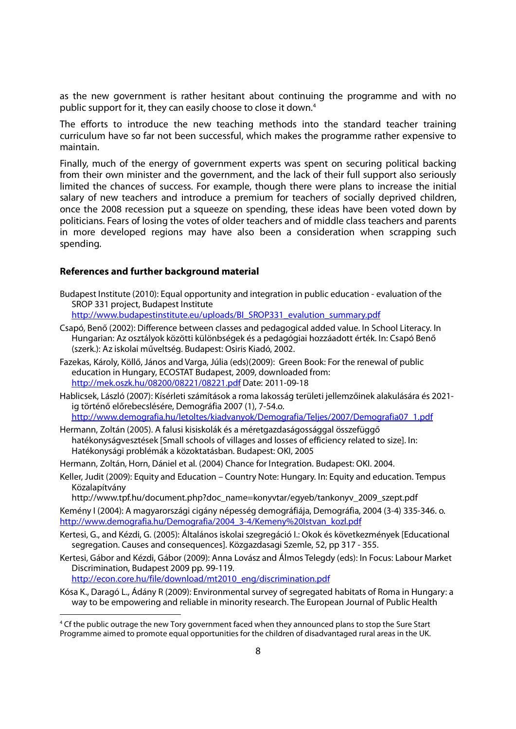as the new government is rather hesitant about continuing the programme and with no public support for it, they can easily choose to close it down.<sup>4</sup>

The efforts to introduce the new teaching methods into the standard teacher training curriculum have so far not been successful, which makes the programme rather expensive to maintain.

Finally, much of the energy of government experts was spent on securing political backing from their own minister and the government, and the lack of their full support also seriously limited the chances of success. For example, though there were plans to increase the initial salary of new teachers and introduce a premium for teachers of socially deprived children, once the 2008 recession put a squeeze on spending, these ideas have been voted down by politicians. Fears of losing the votes of older teachers and of middle class teachers and parents in more developed regions may have also been a consideration when scrapping such spending.

#### **References and further background material**

-

Budapest Institute (2010): Equal opportunity and integration in public education - evaluation of the SROP 331 project, Budapest Institute

http://www.budapestinstitute.eu/uploads/BI\_SROP331\_evalution\_summary.pdf

- Csapó, Benő (2002): Difference between classes and pedagogical added value. In School Literacy. In Hungarian: Az osztályok közötti különbségek és a pedagógiai hozzáadott érték. In: Csapó Benő (szerk.): Az iskolai műveltség. Budapest: Osiris Kiadó, 2002.
- Fazekas, Károly, Köllő, János and Varga, Júlia (eds)(2009): Green Book: For the renewal of public education in Hungary, ECOSTAT Budapest, 2009, downloaded from: http://mek.oszk.hu/08200/08221/08221.pdf Date: 2011-09-18
- Hablicsek, László (2007): Kísérleti számítások a roma lakosság területi jellemzőinek alakulására és 2021 ig történő előrebecslésére, Demográfia 2007 (1), 7-54.o. http://www.demografia.hu/letoltes/kiadvanyok/Demografia/Teljes/2007/Demografia07\_1.pdf
- Hermann, Zoltán (2005). A falusi kisiskolák és a méretgazdaságossággal összefüggő hatékonyságvesztések [Small schools of villages and losses of efficiency related to size]. In: Hatékonysági problémák a közoktatásban. Budapest: OKI, 2005

Hermann, Zoltán, Horn, Dániel et al. (2004) Chance for Integration. Budapest: OKI. 2004.

Keller, Judit (2009): Equity and Education – Country Note: Hungary. In: Equity and education. Tempus Közalapítvány

http://www.tpf.hu/document.php?doc\_name=konyvtar/egyeb/tankonyv\_2009\_szept.pdf

Kemény I (2004): A magyarországi cigány népesség demográfiája, Demográfia, 2004 (3-4) 335-346. o. http://www.demografia.hu/Demografia/2004\_3-4/Kemeny%20Istvan\_kozl.pdf

- Kertesi, G., and Kézdi, G. (2005): Általános iskolai szegregáció I.: Okok és következmények [Educational segregation. Causes and consequences]. Közgazdasagi Szemle, 52, pp 317 - 355.
- Kertesi, Gábor and Kézdi, Gábor (2009): Anna Lovász and Álmos Telegdy (eds): In Focus: Labour Market Discrimination, Budapest 2009 pp. 99-119. http://econ.core.hu/file/download/mt2010\_eng/discrimination.pdf

Kósa K., Daragó L., Ádány R (2009): Environmental survey of segregated habitats of Roma in Hungary: a way to be empowering and reliable in minority research. The European Journal of Public Health

<sup>4</sup> Cf the public outrage the new Tory government faced when they announced plans to stop the Sure Start Programme aimed to promote equal opportunities for the children of disadvantaged rural areas in the UK.